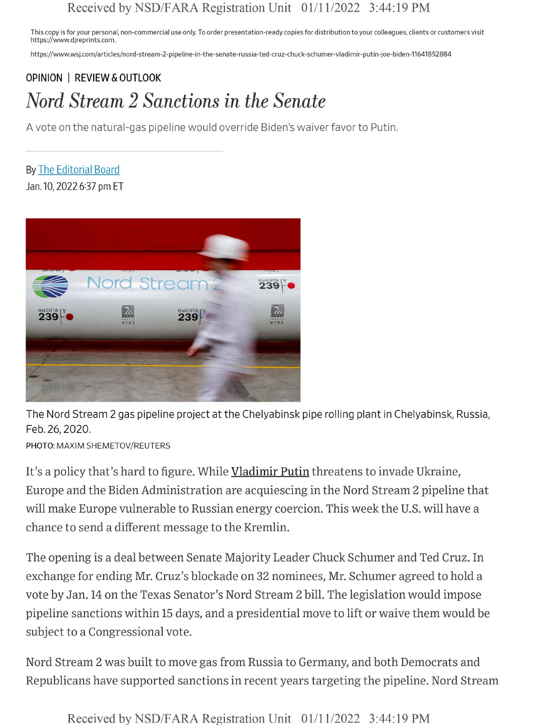## Received by NSD/FARA Registration Unit 01/11/2022 3:44:19 PM

This copy is for your personal, non-commercial use only. To order presentation-ready copies for distribution to your colleagues, clients or customers visit https://www.djreprints.com.

https://www.wsj.com/articles/nord-stream-2-pipeline-in-the-senate-russia-ted-cruz-chuck-schumer-vladimir-putin-joe-biden-11641852884

## OPINION | REVIEW & OUTLOOK *Nord Stream 2 Sanctions in the Senate*

A vote on the natural-gas pipeline would override Biden's waiver favor to Putin.

By **The Editorial Board** Jan. 10,2022 637 pm ET



The Nord Stream 2 gas pipeline project at the Chelyabinsk pipe rolling plant in Chelyabinsk, Russia, Feb. 26,2020.

PHOTO: MAXIM SHEMETOV/REUTERS

It's a policy that's hard to figure. While Vladimir Putin threatens to invade Ukraine, Europe and the Biden Administration are acquiescing inthe Nord Stream 2 pipeline that will make Europe vulnerable to Russian energy coercion. This week the U.S. will have <sup>a</sup> chance to send a different message to the Kremlin.

The opening is a deal between Senate Majority Leader Chuck Schumer and Ted Cruz. In exchange for ending Mr. Cruz's blockade on 32 nominees, Mr. Schumer agreed to hold a vote by Jan. 14 on the Texas Senator's Nord Stream 2 bill. The legislation would impose pipeline sanctions within 15 days, and a presidential move to lift or waive them would be subject to a Congressional vote.

Nord Stream 2 was built to move gas from Russia to Germany, and both Democrats and Republicans have supported sanctions inrecent years targeting the pipeline. Nord Stream

Received by NSD/FARA Registration Unit 01/11/2022 3:44:19 PM